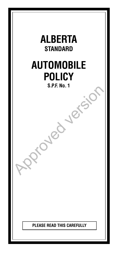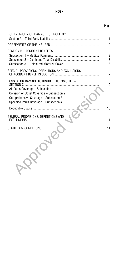# **INDEX**

# Page

| SECTION B - ACCIDENT BENEFITS<br>6<br>SPECIAL PROVISIONS, DEFINITIONS AND EXCLUSIONS<br>LOSS OF OR DAMAGE TO INSURED AUTOMOBILE -<br>All Perils Coverage - Subsection 1<br>Collision or Upset Coverage - Subsection 2<br>Comprehensive Coverage - Subsection 3<br>Specified Perils Coverage - Subsection 4<br>GENERAL PROVISIONS, DEFINITIONS AND<br>11 | BODILY INJURY OR DAMAGE TO PROPERTY | 1                   |
|---------------------------------------------------------------------------------------------------------------------------------------------------------------------------------------------------------------------------------------------------------------------------------------------------------------------------------------------------------|-------------------------------------|---------------------|
|                                                                                                                                                                                                                                                                                                                                                         |                                     | $\overline{2}$      |
|                                                                                                                                                                                                                                                                                                                                                         |                                     | $\overline{2}$<br>3 |
|                                                                                                                                                                                                                                                                                                                                                         |                                     | $\overline{7}$      |
|                                                                                                                                                                                                                                                                                                                                                         |                                     | 10                  |
|                                                                                                                                                                                                                                                                                                                                                         |                                     | 10                  |
|                                                                                                                                                                                                                                                                                                                                                         |                                     |                     |
|                                                                                                                                                                                                                                                                                                                                                         |                                     | 14                  |
|                                                                                                                                                                                                                                                                                                                                                         |                                     |                     |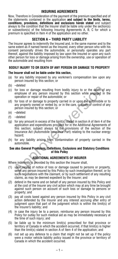# **INSURING AGREEMENTS**

Now, Therefore in Consideration of the payment of the premium specified and of the statements contained in the application **and subject to the limits, terms, conditions, provisions, definitions and exclusions herein stated** and subject always to the condition that the Insurer shall be liable only under the section(s) or subsection(s) of the following Insuring Agreements A, B, C for which a premium is specified in Item 4 of the application and no other.

# **SECTION A – THIRD PARTY LIABILITY**

The Insurer agrees to indemnify the Insured and, in the same manner and to the same extent as if named herein as the Insured, every other person who with his consent personally drives the automobile, or personally operates any part thereof, against the liability imposed by law upon the Insured or upon any such other person for loss or damage arising from the ownership, use or operation of the automobile and resulting from

# **BODILY INJURY TO OR DEATH OF ANY PERSON OR DAMAGE TO PROPERTY**

# **The Insurer shall not be liable under this section,**

- (a) for any liability imposed by any workmen's compensation law upon any person insured by this section; or
- (b) –deleted
- (c) for loss or damage resulting from bodily injury to or the death of any employee of any person insured by this section while engaged in the operation or repair of the automobile; or
- (d) for loss of or damage to property carried in or upon the automobile or to any property owned or rented by, or in the care, custody or control of any person insured by this section; or
- (e) –deleted
- (f) –deleted
- Fraction of a many resulting from bodily injury to or the death of a<br>employee of any person insured by this section while engaged in th<br>operation or repair of the automobile; or<br>for loss of or damage to property carried in (g) for any amount in excess of the limit(s) stated in section A of item 4 of the application and expenditures provided for in the Additional Agreements of this section; subject always to the provisions of the section of the Insurance Act (Automobile Insurance Part) relating to the nuclear energy hazard;
- (h) for any liability arising from contamination of property carried in the automobile.

### **See also General Provisions, Definitions, Exclusions and Statutory Conditions of this Policy**

# **ADDITIONAL AGREEMENTS OF INSURER**

Where indemnity is provided by this section the Insurer shall,

- (1) upon receipt of notice of loss or damage caused to persons or property, serve any person insured by this Policy by such investigation thereof, or by such negotiations with the claimant, or by such settlement of any resulting claims, as may be deemed expedient by the Insurer; and
- (2) defend in the name and on behalf of any person insured by this Policy and at the cost of the Insurer any civil action which may at any time be brought against such person on account of such loss or damage to persons or property; and
- (3) pay all costs taxed against any person insured by this Policy in any civil action defended by the Insurer and any interest accruing after entry of judgment upon that part of the judgment which is within the limit(s) of the Insurer's liability; and
- (4) in case the injury be to a person, reimburse any person insured by this Policy for outlay for such medical aid as may be immediately necessary at the time of such injury; and
- (5) be liable up to the minimum limit(s) prescribed for that province or territory of Canada in which the accident occurred, if that limit(s) is higher than the limit(s) stated in section A of Item 4 of the application; and
- (6) not set up any defence to a claim that might not be set up if the policy were a motor vehicle liability policy issued in the province or territory of Canada in which the accident occurred.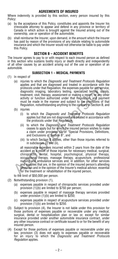# **AGREEMENTS OF INSURED**

Where indemnity is provided by this section, every person insured by this Policy:

- (a) by the acceptance of this Policy, constitutes and appoints the Insurer his irrevocable attorney to appear and defend in any province or territory of Canada in which action is brought against the Insured arising out of the ownership, use or operation of the automobile;
- (b) shall reimburse the Insurer, upon demand, in the amount which the Insurer has paid by reason of the provisions of any statute relating to automobile insurance and which the Insurer would not otherwise be liable to pay under this Policy.

# **SECTION B – ACCIDENT BENEFITS**

The Insurer agrees to pay to or with respect to each insured person as defined in this section who sustains bodily injury or death directly and independently of all other causes by an accident arising out of the use or operation of an automobile.

### **SUBSECTION 1 – MEDICAL PAYMENTS**

- (1) In respect of
	- (a) injuries to which the *Diagnostic and Treatment Protocols Regulation* applies and that are diagnosed and treated in accordance with the protocols under that Requlation, the expenses payable for any service. diagnostic imaging, laboratory testing, specialized testing, supply, treatment, visit, therapy, assessment or making a report, or any other activity or function authorized under that Regulation, and payment must be made in the manner and subject to the provisions of that Regulation, notwithstanding anything to the contrary in Section B, and
	- (b) injuries
		- (i) to which the *Diagnostic and Treatment Protocols Regulation* applies but that are not diagnosed and treated in accordance with the protocols under that Regulation,
		- (ii) to which the *Diagnostic and Treatment Protocols Regulation* ceases to apply but for which the insured person wishes to make a claim under provision (3) of "Special Provisions, Definitions, and Exclusions of Section B", and
		- (iii) to which Section B applies, other than those injuries referred to in subclauses (i) and (ii),

protocols under that Regulation, the expenses payable for any service<br>diagnostic imaging, laboratory testing, superior treatment, visit, therapy, assessment or making a report, or any othe<br>treatment, visit, therapy, assess all reasonable expenses incurred within 2 years from the date of the accident as a result of those injuries for necessary medical, surgical, chiropractic, dental, hospital, psychological, physical therapy, occupational therapy, massage therapy, acupuncture, professional nursing and ambulance services and, in addition, for other services and supplies that are, in the opinion of the insured person's attending physician and in the opinion of the Insurer's medical advisor, essential for the treatment or rehabilitation of the injured person,

to the limit of \$50,000 per person.

- (2) Notwithstanding provision (1),
	- (a) expenses payable in respect of chiropractic services provided under provision (1)(b) are limited to \$750 per person;
	- (b) expenses payable in respect of massage therapy services provided under provision (1)(b) are limited to \$250;
	- (c) expenses payable in respect of acupuncture services provided under provision  $(1)(b)$  are limited to \$250.
- (3) Subject to provision (4), the Insurer is not liable under this provision for those portions of expenses payable or recoverable under any medical, surgical, dental or hospitalization plan or law or, except for similar insurance provided under another automobile insurance contract, under any other insurance contract or certificate issued to or for the benefit of any insured person.
- (4) Except for those portions of expenses payable or recoverable under any law, provision (3) does not apply to expenses payable or recoverable for an injury to which the *Diagnostic and Treatment Protocols Regulation* applies.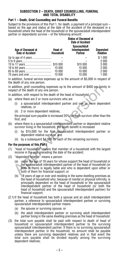### **SUBSECTION 2 – DEATH, GRIEF COUNSELLING, FUNERAL AND TOTAL DISABILITY**

### **Part 1 – Death, Grief Counselling and Funeral Benefits**

Subject to the provisions of this Part 1, for death, a payment of a principal sum – based on the age and status at the date of the accident of the deceased in a household where the head of the household or the spouse/adult interdependent partner or dependants survive – of the following amount:

| Age of Deceased at<br><b>Date of Accident</b> | Head of<br>Household | <b>Status of Deceased at</b><br><b>Date of Accident</b><br><b>Spouse/Adult</b><br>Interdependent<br>Partner | <b>Dependent</b><br><b>Relative</b> |
|-----------------------------------------------|----------------------|-------------------------------------------------------------------------------------------------------------|-------------------------------------|
|                                               |                      |                                                                                                             | \$1000                              |
|                                               |                      |                                                                                                             | 2 0 0 0                             |
|                                               |                      | \$10 000                                                                                                    | 3 0 0 0                             |
|                                               | 10 000               | 10 000                                                                                                      | 2 0 0 0                             |
|                                               | 10 000               | 10 000                                                                                                      | 2 000                               |
|                                               |                      | 10 000                                                                                                      | 1 000                               |
|                                               |                      |                                                                                                             |                                     |

In addition, funeral service expenses up to the amount of \$5,000 in respect of the death of any one person.

In addition, grief counselling expenses up to the amount of \$400 per family in respect of the death of any one person.

In addition, with respect to the death of the head of household,

- (a) where there are 2 or more survivors who are
	- (i) a spouse/adult interdependent partner and one or more dependent relatives, or
	- (ii) 2 or more dependent relatives,

 the principal sum payable is increased 20% for each survivor other than the first, and

- (b) where there is a spouse/adult interdependent partner or dependent relative survivor living in the household, the death benefit is increased
	- (i) by \$15,000 for the first spouse/adult interdependent partner or dependent relative survivor, and
	- (ii) by a subsequent \$4,000 for each of the remaining survivors.

# **For the purposes of this Part I**

- (1) "head of household" means that member of a household with the largest income in the year preceding the date of the accident;
- (2) "dependent relative" means a person
- ddition, grief counselling expenses up to the amount of \$400 per family<br>pect of the death of any one person.<br>ddition, with respect to the death of the head of household,<br>where there are 2 or more survivors who are<br>(i) a sp (a) under the age of 18 years for whose support the head of household or the spouse/adult interdependent partner of the head of household (or both of them) is legally liable and who is dependent upon either or both of them for financial support; or
	- (b) 18 years of age or over and residing in the same dwelling premises as the head of household who, because of mental or physical infirmity, is principally dependent on the head of household or the spouse/adult interdependent partner of the head of household (or both the head of household and the spouse/adult interdependent partner) for financial support;
- (2.1)If the head of household has both a spouse and an adult interdependent partner, a reference to spouse/adult interdependent partner or surviving spouse/adult interdependent partner means
	- (a) the spouse or surviving spouse, or
	- (b) the adult interdependent partner or surviving adult interdependent partner living in the same dwelling premises as the head of household.
- (3) the total sum payable shall be paid with respect to death of head of household or spouse/adult interdependent partner to the surviving spouse/adult interdependent partner. If there is no surviving spouse/adult interdependent partner in the household, no amount shall be payable unless there are surviving dependent relatives and in that event the total sum payable shall be divided equally among the surviving dependent relatives;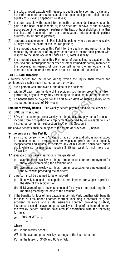- (4) the total amount payable with respect to death due to a common disaster of head of household and spouse/adult interdependent partner shall be paid equally to surviving dependent relatives;
- (5) the sum payable with respect to the death of a dependent relative shall be paid to the head of household or, if he does not survive, to the surviving spouse/adult interdependent partner of the head of household but, if neither the head of household nor the spouse/adult interdependent partner survives, no amount is payable;
- (6) amounts payable under this Part I shall be paid only to a person who is alive 60 days after the death of the insured person;
- (7) the amount payable under this Part I for the death of any person shall be reduced by the amount of any payments made to or for such person with respect to the same accident under Part II, Total Disability;
- (8) the amount payable under this Part for grief counselling is payable to the spouse/adult interdependent partner or other immediate family member of the deceased in respect of grief counselling for the immediate family members of an insured person who dies as a result of the accident.

### **Part II – Total Disability**

A weekly benefit for the period during which the injury shall wholly and continuously disable such insured person, provided

- (a) such person was employed at the date of the accident;
- (b) within 60 days from the date of the accident such injury prevents him from performing any and every duty pertaining to his occupation or employment;
- (c) no benefit shall be payable for the first seven days of such disability or for any period in excess of 104 weeks.

**Amount of Weekly Benefit** – The weekly benefit payable shall be the lesser of:

- (a) \$400 per week, and
- (b) 80% of the average gross weekly earnings, less any payments for loss of income from occupation or employment received by or available to such insured person under Subsection 2 (A) of this Section B.

The above benefits shall be subject to the terms of provision (3) below.

#### **For the purpose of this Part II,**

- such person was employed at the date of the accident;<br>within 60 days from the date of the accident such injury prevents him fro<br>throm 60 days from the date of the accident such injury prevents him fro<br>proforming any and e (1) an insured person who is 18 years of age or over and who is not engaged in an occupation or employment for wages or profit and is completely incapacitated and unable to perform any of his or her household duties shall, while so incapacitated, receive \$135 per week for not more than 26 weeks;
- (1.1)average gross weekly earnings is the greater of
	- (a) average gross weekly earnings from an occupation or employment for the 4 weeks preceding the accident, and
	- (b) average gross weekly earnings from an occupation or employment for the 52 weeks preceding the accident;
- (2) a person shall be deemed to be employed
	- (a) if actively engaged in occupation or employment for wages or profit at the date of the accident, or
	- (b) if 18 years of age or over, so engaged for any six months during the 12 months preceding the date of the accident.
- (3) if the benefits for loss of time payable under this Part, together with benefits for loss of time under another contract, including a contract of group accident insurance and a life insurance contract providing disability insurance, exceed the average gross weekly earnings of the insured person, the weekly benefit shall be calculated in accordance with the following formula:

$$
WB = \frac{80\% \text{ of WE}}{PB + OB} \times PB
$$

where

WB is the weekly benefit,

- WE is the average gross weekly earnings of the insured person.
- PB is the lesser of \$400 and 80% of WE,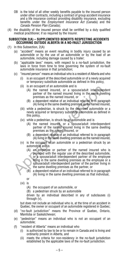- OB is the total of all other weekly benefits payable to the insured person under other contracts, including a contract of group accident insurance and a life insurance contract providing disability insurance, excluding benefits under the *Employment Insurance Act* (Canada) and the *Canada Pension Plan* (Canada);
- (4) the disability of the insured person shall be certified by a duly qualified medical practitioner, if so required by the Insurer.

### **SUBSECTION 2(A) – SUPPLEMENTED BENEFITS RESPECTING ACCIDENTS OCCURRING OUTSIDE ALBERTA IN A NO-FAULT JURISDICTION**

- (1) In this Subsection, 2(A)
	- (a) "accident" means an event resulting in bodily injury caused by an automobile or by the use of an automobile or by the load of an automobile, including damage caused by a trailer;
	- (b) "applicable laws" means, with respect to a no-fault jurisdiction, the laws in force from time to time governing the system of no-fault automobile insurance in that jurisdiction;
	- (c) "insured person" means an individual who is a resident of Alberta and who
		- (i) is an occupant of the described automobile or of a newly acquired or temporary substitute automobile as defined in this policy,
		- (ii) is an occupant of an automobile and is
			- (A) the named insured, or a spouse/adult interdependent partner of the named insured living in the same dwelling premises as the named insured, or
			- (B) a dependent relative of an individual referred to in paragraph (A) living in the same dwelling premises as the named insured,
		- (iii) while a pedestrian, is struck by the described automobile or a newly acquired or temporary substitute automobile as defined in this policy,
		- (iv) while a pedestrian, is struck by an automobile and is
			- (A) the named insured, or a spouse/adult interdependent partner of the named insured living in the same dwelling premises as the named insured, or
			- (B) a dependent relative of an individual referred to in paragraph (A) living in the same dwelling premises as the named insured,
		- (v) is the occupant of an automobile or a pedestrian struck by an automobile and is
	- (A) is an occupant of an automobile and is<br>
	(A) the named insured, or a spouse/adult interdepende<br>
	partner of the named insured, or a spouse/adult interdepende<br>
	premisses as the named insured, or<br>
	(B) a dependent relative (A) an employee or partner of the named insured who is provided with the regular use of the described automobile, or a spouse/adult interdependent partner of the employee living in the same dwelling premises as the employee or a spouse/adult interdependent partner of the partner living in the same dwelling premises as the partner, or
		- (B) a dependent relative of an individual referred to in paragraph (A) living in the same dwelling premises as that individual,

or

(vi) is

(A) the occupant of an automobile, or

(B) a pedestrian struck by an automobile

 driven by an individual described in any of subclauses (i) through (v),

 but does not include an individual who is, at the time of an accident in Quebec, the owner or occupant of an automobile registered in Quebec;

- (d) "no-fault jurisdiction" means the Province of Quebec, Ontario, Manitoba or Saskatchewan;
- (e) "pedestrian" means an individual who is not an occupant of an automobile;
- (f) "resident of Alberta" means an individual who
	- (i) is authorized by law to be or to remain in Canada and is living and ordinarily present in Alberta, and
	- (ii) meets the criteria for non-residency in the no-fault jurisdiction established by the applicable laws of the no-fault jurisdiction.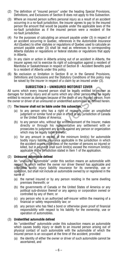- (2) The definition of "insured person" under the heading Special Provisions, Definitions, and Exclusions of Section B does not apply to this Subsection.
- (3) Where an insured person suffers personal injury as a result of an accident occurring in a no-fault jurisdiction, the insurer agrees to pay to the insured person the amount that would be payable under the applicable laws of the no-fault jurisdiction as if the insured person were a resident of the no-fault jurisdiction.
- (4) For the purposes of calculating an amount payable under (3) in respect of an accident occurring in Quebec, references in the *Automobile Insurance Act* (Quebec) to other statutes or regulations of Quebec used to calculate an amount payable under (3) shall be read as references to corresponding Alberta statutes or regulations or federal statutes or regulations that apply in Alberta.
- (5) In any claim or action in Alberta arising out of an accident in Alberta, the insurer agrees not to exercise its right of subrogation against a resident of Manitoba or Saskatchewan in respect of Section B - Accident Benefits paid to a resident of Alberta under this policy.
- (6) No exclusion or limitation in Section B or in the General Provisions, Definitions and Exclusions and the Statutory Conditions of this policy may be raised by the insurer in respect of a claim by an insured under (3).

# **SUBSECTION 3 – UNINSURED MOTORIST COVER**

All sums which every insured person shall be legally entitled to recover as damages for bodily injury and all sums which any other person shall be legally entitled to recover as damages because of the death of any insured person, from the owner or driver of an uninsured or unidentified automobile as defined herein.

### (1) **The Insurer shall not be liable under this subsection,**

- (a) to any person who has a right of recovery under an unsatisfied judgment or similar fund or plan in effect in any jurisdiction of Canada or the United States of America;
- (b) to any person who, without the written consent of the Insurer, makes directly or through his representative any settlement with or prosecutes to judgment any action against any person or organization which may be legally liable therefor;
- **SUBSECTION 3 UNINSURED MOTORIST COVER**<br>
sums which every insured person shall be legally entitled to recover a<br>
nages for bodily injury and all sums which any other person shall be legal<br>
thed to recover as damages bec (c) for any amount in excess of the minimum limit(s) for automobile bodily injury liability insurance applicable in the jurisdiction in which the accident occurs regardless of the number of persons so injured or killed, but in no event shall such limit(s) exceed the minimum limit(s) applicable in the jurisdiction stated in Item 1 of the application.

# (2) **Uninsured automobile defined**

 An "uninsured automobile" under this section means an automobile with respect to which neither the owner nor driver thereof has applicable and collectible bodily injury liability insurance for its ownership, use or operation, but shall not include an automobile owned by or registered in the name of

- (a) the named insured or by any person residing in the same dwelling premises therewith; or
- (b) the governments of Canada or the United States of America or any political sub-division thereof or any agency or corporation owned or controlled by any of them; or
- (c) any person who is an authorized self-insurer within the meaning of a financial or safety responsibility law; or
- (d) any person who has filed a bond or otherwise given proof of financial responsibility with respect to his liability for the ownership, use or operation of automobiles.

# (3) **Unidentified automobile defined**

 An "unidentified" automobile under this subsection means an automobile which causes bodily injury or death to an insured person arising out of physical contact of such automobile with the automobile of which the insured person is an occupant at the time of the accident, provided

(a) the identity of either the owner or driver of such automobile cannot be ascertained, and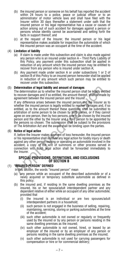- (b) the insured person or someone on his behalf has reported the accident within 24 hours to a police, peace or judicial officer or to an administrator of motor vehicle laws and shall have filed with the Insurer within 30 days thereafter a statement under oath that the insured person or his legal representative has a cause or causes of action arising out of such accident for damages against a person or persons whose identity cannot be ascertained and setting forth the facts in support thereof; and
- (c) at the request of the Insurer, the insured person or his legal representative makes available for inspection the automobile of which the insured person was an occupant at the time of the accident.

#### (4) **Limitation of liability**

- (a) If claim is made under this subsection and claim is also made against any person who is an insured under section  $A -$  Third Party Liability of this Policy, any payment under this subsection shall be applied in reduction of any amount which the insured person may be entitled to recover from any person who is insured under section A;
- (b) Any payment made under section A or under subsections 1 or 2 of section B of this Policy to an insured person hereunder shall be applied in reduction of any amount which such person may be entitled to recover under this subsection.

### (5) **Determination of legal liability and amount of damages**

 The determination as to whether the insured person shall be legally entitled to recover damages and if so entitled, the amount thereof, shall be made by agreement between the insured person and the Insurer.

**Determination of legal liability and amount of damages**<br>The determination as to whether the insured person shall be legally entities<br>to recover damages and if so entitled, the amount thereof, shall be made to<br>agreement be If any difference arises between the insured person and the Insurer as to whether the insured person is legally entitled to recover damages and, if so entitled, as to the amount thereof these questions shall be submitted to arbitration of some person to be chosen by both parties, or if they cannot agree on one person, then by two persons, one to be chosen by the insured person and the other by the Insurer and a third person to be appointed by the persons so chosen. The submission shall be subject to the provisions of The Arbitration Act and the award shall be binding upon the parties.

### (6) **Notice of legal action**

 If, before the Insurer makes payment of loss hereunder, the insured person or his representative shall institute any legal action for bodily injury or death against any other person owning or operating an automobile involved in the accident, a copy of the writ of summons or other process served in connection with such legal action shall be forwarded immediately to the Insurer.

#### **SPECIAL PROVISIONS, DEFINITIONS, AND EXCLUSIONS OF SECTION B**

# (1) **"INSURED PERSON" DEFINED**

In this section, the words "insured person" mean

- (a) any person while an occupant of the described automobile or of a newly acquired or temporary substitute automobile as defined in this policy;
- (b) the insured and, if residing in the same dwelling premises as the insured, his or her spouse/adult interdependent partner and any dependent relative of either while an occupant of any other automobile; provided that
	- (i) the insured is an individual or are two spouses/adult interdependent partners in a household;
	- (ii) such person is not engaged in the business of selling, repairing, maintaining, servicing, storing or parking automobiles at the time of the accident;
	- (iii) such other automobile is not owned or regularly or frequently used by the insured or by any person or persons residing in the same dwelling premises as the insured;
	- (iv) such other automobile is not owned, hired, or leased by an employer of the insured or by an employer of any person or persons residing in the same dwelling premises as the insured;
	- (v) such other automobile is not used for carrying passengers for compensation or hire or for commercial delivery;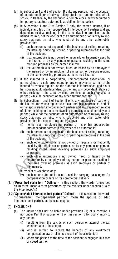- (c) in Subsection 1 and 2 of Section B only, any person, not the occupant of an automobile or of railway rolling-stock that runs on rails, who is struck, in Canada, by the described automobile or a newly acquired or temporary substitute automobile as defined in the policy.
- (d) in Subsection 1 and 2 of Section B only, the named insured, if an individual and his or her spouse/adult interdependent partner and any dependent relative residing in the same dwelling premises as the named insured, not the occupant of an automobile or of railway rollingstock that runs on rails, who is struck by any other automobile; provided that
	- (i) such person is not engaged in the business of selling, repairing, maintaining, servicing, storing, or parking automobiles at the time of the accident;
	- (ii) that automobile is not owned or regularly or frequently used by the insured or by any person or persons residing in the same dwelling premises as the named insured;
	- (iii) that automobile is not owned, hired, or leased by an employer of the insured or by an employer of any person or persons residing in the same dwelling premises as the named insured;
- (e) if the insured is a corporation, unincorporated association, or partnership, or a sole proprietorship, any employee or partner of the insured for whose regular use the automobile is furnished, and his or her spouse/adult interdependent partner and any dependent relative of either, residing in the same dwelling premises as such employee or partner, while an occupant of any other automobile; and
- Insured to whose regular use the automobile is thristeney in the same developed in the sponse/addlt interdependent partner and any dependent relative either, residing in the same dwelling premises as such employee or partn (f) in Subsections 1 and 2 of Section B only, any employee or partner of the insured, for whose regular use the automobile is furnished, and his or her spouse/adult interdependent partner and any dependent relative of either, residing in the same dwelling premises as such employee or partner, while not the occupant of an automobile or of railway rollingstock that runs on rails, who is struck by any other automobile; provided that in respect of (e) and (f) above,
	- (i) neither such employee nor partner or his or her spouse/adult interdependent partner is the owner of an automobile;
	- (ii) such person is not engaged in the business of selling, repairing, maintaining, servicing, storing, or parking automobiles at the time of the accident;
	- (iii) such other automobile is not owned or regularly or frequently used by the employee or partner, or by any person or persons residing in the same dwelling premises as such employee or partner;
	- (iv) such other automobile is not owned, hired, or leased by the insured or by an employer of any person or persons residing in the same dwelling premises as such employee or partner of the insured;
	- in respect of (e) above only,
	- (v) such other automobile is not used for carrying passengers for compensation or hire or for commercial delivery.
- (1.1)**"Prescribed claim form" Defined** In this section, the words "prescribed claim form" mean a form prescribed by the Minister under section 803 of the *Insurance Act*.
- (1.2)**"Spouse/adult interdependent partner" Defined** In this section, the words "spouse/adult interdependent partner" mean the spouse or adult interdependent partner, as the case may be.

# (2) **EXCLUSIONS**

- (a) The Insurer shall not be liable under provision (1) of subsection 1 nor under Part II of subsection 2 of this section B for bodily injury to any person
	- (i) resulting from the suicide of such person or attempt thereat, whether sane or insane; or
	- (ii) who is entitled to receive the benefits of any workmen's compensation law or plan as a result of the accident; or
	- (iii) where the person at the time of the accident is engaged in a race or speed test; or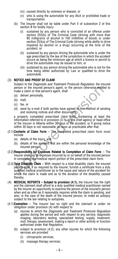- (iv) caused directly by sickness or disease; or
- (v) who is using the automobile for any illicit or prohibited trade or transportation.
- (b) The Insurer shall not be liable under Part II of subsection 2 of this section B for bodily injury
	- (i) sustained by any person who is convicted of an offence under section 253(b) of The Criminal Code (driving with more than 80 milligrams of alcohol in 100 millilitres of blood) or under section 253(a) of The Criminal Code (driving while ability to drive impaired by alcohol or a drug) occurring at the time of the accident, or
	- (ii) sustained by any person driving the automobile who is under the age prescribed by the law of the jurisdiction in which the accident occurs as being the minimum age at which a licence or permit to drive the automobile may be issued to him; or
	- (iii) sustained by any person driving the automobile who is not for the time being either authorized by Law or qualified to drive the automobile.

# (3) **NOTICE AND PROOF OF CLAIM**

 Subject to the *Diagnostic and Treatment Protocols Regulation*, the insured person or the insured person's agent, or the person otherwise entitled to make a claim or that person's agent, shall

- (a) deliver personally,
- (b) mail,
- (c) fax, or
- (d) send by e-mail if both parties have agreed to this method of sending and receiving notices and other documents,

person or the insured person's agent, or the person otherwise entitled<br>
(a) deliver personally,<br>
(a) and a deliver personally,<br>
(b) mail,<br>
(c) fax, or<br>
(d) send by e-mail if both parties have agreed to this method of send a properly completed prescribed claim form, containing at least the information referred to in provision (3.1), to the chief agency or head office of the Insurer in Alberta within 30 days of the accident, or if giving notice within 30 days is not reasonable, as soon as practicable after that.

- (3.1)**Contents of Claim Form** The completed prescribed claim form must include
	- (a) details of the injury, and
	- (b) details of the accident that are within the personal knowledge of the insured person.
- (3.2)**Responsibility for Expenses Related to Completion of Claim Form** The Insurer shall pay all expenses incurred by or on behalf of the insured person in completing the medical report portion of the prescribed claim form.
- (3.3)**Total Disability Claim** With respect to a total disability claim, the insured person shall, if so required by the Insurer, furnish a certificate from a duly qualified medical practitioner as to the cause and nature of the accident for which the claim is made and as to the duration of the disability caused thereby.
- (4) **MEDICAL REPORTS Subject to provision (4.1),** the Insurer has the right and the claimant shall afford to a duly qualified medical practitioner named by the Insurer an opportunity to examine the person of the insured's person when and as often as it reasonably requires while the claim is pending, and also, in the case of the death of the insured person, to make an autopsy subject to the law relating to autopsies.
- (4.1)**Exemption** The Insurer has no right and the claimant is under no obligation under provision (4) with respect to
	- (a) injuries to which the *Diagnostic and Treatment Protocols Regulation* applies during the period and with respect to any service, diagnostic imaging, laboratory testing, specialized testing, supply, treatment, visit, therapy, assessment, making a report or other activity or function authorized under that Regulation;
	- (b) subject to provision (4.2), any other injuries for which the following services are provided:
		- (i) chiropractic services;
		- (ii) massage therapy services;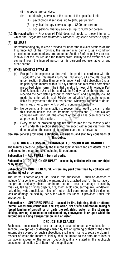- (iii) acupuncture services;
- (iv) the following services to the extent of the specified limit:
	- (A) psychological services, up to \$600 per person;
	- (B) physical therapy services, up to \$600 per person;
	- (C) occupational therapy services, up to \$600 per person.
- (4.2)**Non-application**  Provision (4.1)(b) does not apply to those injuries to which the *Diagnostic and Treatment Protocols Regulation* ceases to apply.

### (5) **RELEASE**

 Notwithstanding any release provided for under the relevant sections of The Insurance Act of the Province, the Insurer may demand, as a condition precedent to payment of any amount under Section B of the policy, a release in favour of the insured and the Insurer from liability to the extent of such payment from the insured person or his personal representative or any other person.

### (6) **WHEN MONEYS PAYABLE**

- prescribed claim form. The initial benefits for loss of time under Pa<br>
I of Subsection 2 shall be paid within 30 days after the Insurer has<br>
received the completed prescribed claim form, and payments shall<br>
made thereafte (a) Except for the expenses authorized to be paid in accordance with the *Diagnostic and Treatment Protocols Regulation*, all amounts payable under Section B other than benefits under Part II of Subsection 2 shall be paid by the Insurer within 60 days after it has received a completed prescribed claim form. The initial benefits for loss of time under Part II of Subsection 2 shall be paid within 30 days after the Insurer has received the completed prescribed claim form, and payments shall be made thereafter within each 30-day period while the Insurer remains liable for payments if the insured person, whenever required to do so, furnishes, prior to payment, proof of continuing disability.
- (b) No person shall bring an action to recover the amount of a claim under this section unless the requirements of provisions (3) and (4) are complied with, nor until the amount of the loss has been ascertained as provided in this section.
- (c) Every action or proceeding against the Insurer for the recovery of a claim under this section shall be commenced within one year from the date on which the cause of action arose and not afterwards.

#### **See also general provisions, definitions, exclusions, and statutory conditions of this policy.**

# **SECTION C – LOSS OF OR DAMAGE TO INSURED AUTOMOBILE**

The Insurer agrees to indemnify the Insured against direct and accidental loss of or damage to the automobile, including its equipment

#### **Subsection 1 – ALL PERILS – from all perils;**

#### **Subsection 2 – COLLISION OR UPSET – caused by collision with another object or by upset;**

#### **Subsection 3 – COMPREHENSIVE – from any peril other than by collision with another object or by upset;**

The words "another object" as used in this subsection 3 shall be deemed to include (a) a vehicle to which the automobile is attached and (b) the surface of the ground and any object therein or thereon. Loss or damage caused by missiles, falling or flying objects, fire, theft, explosion, earthquake, windstorm, hail, rising water, malicious mischief, riot or civil commotion shall be deemed loss or damage caused by perils for which insurance is provided under this subsection 3.

**Subsection 4 – SPECIFIED PERILS – caused by fire, lightning, theft or attempt thereat, windstorm, earthquake, hail, explosion, riot or civil commotion, falling or forced landing of aircraft or of parts thereof, rising water, or the stranding, sinking, burning, derailment or collision of any conveyance in or upon which the automobile is being transported on land or water;**

# **DEDUCTIBLE CLAUSE**

Each occurrence causing loss or damage covered under any subsection of section C except loss or damage caused by fire or lightning or theft of the entire automobile covered by such subsection, shall give rise to a separate claim in respect of which the Insurer's liability shall be limited to the amount of loss or damage in excess of the amount deductible, if any, stated in the applicable subsection of section C of Item 4 of the application.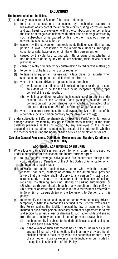# **EXCLUSIONS**

# **The Insurer shall not be liable,**

- (1) under any subsection of Section C for loss or damage
	- (a) to tires or consisting of or caused by mechanical fracture or breakdown of any part of the automobile or by rusting, corrosion, wear and tear, freezing, or explosion within the combustion chamber, unless the loss or damage is coincident with other loss or damage covered by such subsection or is caused by fire, theft or malicious mischief covered by such subsection; or
	- (b) caused by the conversion, embezzlement, theft or secretion by any person in lawful possession of the automobile under a mortgage, conditional sale, lease or other similar written agreement; or
	- (c) caused by the voluntary parting with title or ownership, whether or not induced to do so by any fraudulent scheme, trick, device or false pretense; or
	- (d) caused directly or indirectly by contamination by radioactive material; or
	- (e) to contents of trailers or to rugs or robes; or
	- (f) to tapes and equipment for use with a tape player or recorder when such tapes or equipment are detached therefrom; or
	- (g) where the insured drives or operates the automobile
		- (i) while under the influence of intoxicating liquor or drugs to such an extent as to be for the time being incapable of the proper control of the automobile; or
		- (ii) while in a condition for which he is convicted of an offence under section 253 of the Criminal Code (Canada) or under or in connection with circumstances for which he is convicted of an offence under section 254 of the Criminal Code (Canada); or
	- (h) where the insured permits, suffers, allows or connives at the use of the automobile by any person contrary to the provisions of (g);
- (i) while the intendered the multileuse of multileuse of multileuse of the propositor of the automobile; or<br>an extent as to be for the time being incapable of the prop<br>control of the automobile; or<br>(ii) while in a conditio (2) under subsections 3 (Comprehensive), 4 (Specified Perils) only, for loss or damage caused by theft by any person or persons residing in the same dwelling premises as the Insured, or by any employee of the Insured engaged in the operation, maintenance or repair of the automobile whether the theft occurs during the hours of such service or employment or not.

#### **See also General Provisions, Definitions, Exclusions and Statutory Conditions of this Policy**

# **ADDITIONAL AGREEMENTS OF INSURER**

- (1) Where loss or damage arises from a peril for which a premium is specified under a subsection of this section, the Insurer further agrees:
	- (a) to pay general average, salvage and fire department charges and customs duties of Canada or of the United States of America for which the Insured is legally liable;
	- (b) to waive subrogation against every person who, with the insured's consent, has care, custody or control of the automobile, provided always that this waiver shall not apply to any person (1) having such care, custody or control in the course of the business of selling. repairing, maintaining, servicing, storing or parking automobiles, or (2) who has (i) committed a breach of any condition of this policy or (ii) driven or operated the automobile in the circumstances referred to in (i) or (ii) of paragraph (g) of the Exclusions to Section C of this policy;
	- (c) to indemnify the Insured and any other person who personally drives a temporary substitute automobile as defined in the General Provisions of this Policy against the liability imposed by law or assumed by the Insured or such other person under any contract or agreement for direct and accidental physical loss or damage to such automobile and arising from the care, custody and control thereof; provided always that:
		- (i) such indemnity is subject to the deductible clause and exclusions of each such subsection;
		- (ii) if the owner of such automobile has or places insurance against any peril insured by this section, the indemnity provided herein shall be limited to the sum by which the deductible amount, if any, of such other insurance exceeds the deductible amount stated in the applicable subsection of this Policy;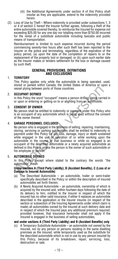- (iii) the Additional Agreements under section A of this Policy shall insofar as they are applicable, extend to the indemnity provided herein.
- (2) Loss of Use by Theft Where indemnity is provided under subsections 1, 3 or 4 of section C hereof the Insurer further agrees, following a theft of the entire automobile covered thereby, to reimburse the Insured for expense not exceeding \$25.00 for any one day nor totalling more than \$750.00 incurred for the rental of a substitute automobile including taxicabs and public means of transportation.

 Reimbursement is limited to such expense incurred during the period commencing seventy-two hours after such theft has been reported to the Insurer or the police and terminating, regardless of the expiration of the policy period, (a) upon the date of the completion of repairs to or the replacement of the property lost or damaged, or (b) upon such earlier date as the Insurer makes or tenders settlement for the loss or damage caused by such theft.

#### **GENERAL PROVISIONS, DEFINITIONS AND EXCLUSIONS**

# 1. **TERRITORY**

 This Policy applies only while the automobile is being operated, used, stored or parked within Canada, the United States of America or upon a vessel plying between ports of those countries.

# 2. **OCCUPANT DEFINED**

 In this Policy the word "occupant" means a person driving, being carried in or upon or entering or getting on to or alighting from an automobile.

# 3. **CONSENT OF OWNER**

 No person shall be entitled to indemnity or payment under this Policy who is an occupant of any automobile which is being used without the consent of the owner thereof.

# 4. **GARAGE PERSONNEL EXCLUDED**

Source when the control of the control of the control of the control of the control of the control of the POIC<br> **OCCUPANT DEFINED**<br>
In this Policy the word "occupant" means a person driving, being carried<br>
or upon or enter No person who is engaged in the business of selling, repairing, maintaining, storing, servicing or parking automobiles shall be entitled to indemnity or payment under this Policy for any loss, damage, injury or death sustained while engaged in the use or operation of or while working upon the automobile in the course of that business or while so engaged is an occupant of the described automobile or a newly acquired automobile as defined in this Policy, unless the person is the owner of such automobile or his employee or partner.

# 5. **AUTOMOBILE DEFINED**

 In this Policy except where stated to the contrary the words "the automobile" mean:

#### **Under sections A (Third Party Liability), B (Accident Benefits), C (Loss of or Damage to Insured Automobile)**

- (a) The Described Automobile an automobile, trailer or semi-trailer specifically described in the Policy or within the description of insured automobiles set forth therein;
- (b) A Newly Acquired Automobile an automobile, ownership of which is acquired by the insured and, within fourteen days following the date of its delivery to him, notified to the Insurer in respect of which the insured has no other valid insurance, if either it replaces an automobile described in the application or the Insurer insures (in respect of the section or subsection of the Insuring Agreements under which claim is made) all automobiles owned by the lnsured at such delivery date and in respect of which the Insured pays any additional premium required; provided however, that insurance hereunder shall not apply if the Insured is engaged in the business of selling automobiles;

# **and under sections A (Third Party Liability) and B (Accident Benefits) only**

(c) A Temporary Substitute Automobile – an automobile not owned by the Insured, nor by any person or persons residing in the same dwelling premises as the Insured, while temporarily used as the substitute for the described automobile which is not in use by any person insured by this Policy, because of its breakdown, repair, servicing, loss, destruction or sale: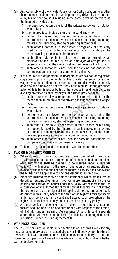- (d) Any Automobile of the Private Passenger or Station Wagon type, other than the described automobile, while personally driven by the Insured, or by his or her spouse if residing in the same dwelling premises as the Insured provided that
	- (i) the described automobile is of the private passenger or station wagon type;
	- (ii) the Insured is an individual or are husband and wife;
	- (iii) neither the Insured nor his or her spouse is driving such automobile in connection with the business of selling, repairing, maintaining, servicing, storing or parking automobiles;
	- (iv) such other automobile is not owned or regularly or frequently used by the Insured or by any person or persons residing in the same dwelling premises as the Insured;
	- (v) such other automobile is not owned, hired or leased by an employer of the Insured or by an employer of any person or persons residing in the same dwelling premises as the Insured;
	- (vi) such other automobile is not used for carrying passengers for compensation or hire or for commercial delivery;
- (e) If the Insured is a corporation, unincorporated association or registered co-partnership, any automobile of the private passenger or station wagon type, other than the described automobile, while personally driven by the employee or partner for whose regular use the described automobile is furnished, or by his or her spouse if residing in the same dwelling premises as such employee or partner, provided that
	- (i) neither such employee or partner or his or her spouse is the owner of an automobile of the private passenger or station wagon type;
	- (ii) the described automobile is of the private passenger or station wagon type;
	- (iii) neither such employee, partner or spouse is driving the automobile in connection with the business of selling, repairing, maintaining, servicing, storing or parking automobiles;
	- (iv) such other automobile is not owned, hired or leased or regularly or frequently used by the Insured or such employee or by any partner of the Insured or by any persons residing in the same dwelling premises as any of the aforementioned persons;
	- (v) such other automobile is not used for carrying passengers for compensation or hire or commercial delivery.
- (f) Trailers any trailer used in connection with the automobile.

# 6. **TWO OR MORE AUTOMOBILES**

- movine elipitoge or partner for whose regular use the described<br>automobile is furnished, or by his or her spouse if residing in the sam<br>dwelling premises as such employee or partner, provided that<br>(i) neither such employee (a) When two or more automobiles are described hereunder (i) with respect to the use or operation of such described automobiles, each automobile shall be deemed to be insured under a separate policy; (ii) with respect to the use or operation of an automobile not owned by the Insured, the limit of the Insurer's liability shall not exceed the highest limit applicable to any one described automobile;
	- (b) When the Insured owns two or more automobiles which are insured as described automobiles under two or more automobile insurance policies, the limit of the Insurer under this Policy with respect to the use or operation of an automobile not owned by the Insured shall not exceed the proportion that the highest limit applicable to any one automobile described in this Policy bears to the sum of the highest limits applicable under each policy and in no event shall exceed such proportion of the highest limit applicable to any one automobile under any policy;
	- (c) A motor vehicle and one or more trailers or semi-trailers attached thereto shall be held to be one automobile with respect to the limit(s) of liability under insuring Agreements A and B and separate automobiles with respect to the limit(s) of liability, including deductible provisions, under Insuring Agreement C.

#### 7. **WAR RISKS EXCLUDED**

 The Insurer shall not be liable under section B or C of this Policy for any loss, damage, injury or death caused directly or indirectly by bombardment, invasion, civil war, insurrection, rebellion, revolution, military or usurped power, or by operation of armed forces while engaged in hostilities, whether war be declared or not.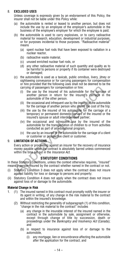# 8. **EXCLUDED USES**

 Unless coverage is expressly given by an endorsement of this Policy, the insurer shall not be liable under this Policy while:

- (a) the automobile is rented or leased to another person, but does not include the use by an employee of the employer's automobile in the business of the employee's employer for which the employee is paid;
- (b) the automobile is used to carry explosives, or to carry radioactive material for research, education, development or industrial purposes, or for purposes incidental to those purposes. "Radioactive material" means
	- (a) spent nuclear fuel rods that have been exposed to radiation in a nuclear reactor,
	- (b) radioactive waste material,
	- (c) unused enriched nuclear fuel rods, or
	- (d) any other radioactive material of such quantity and quality as to be harmful to persons or property if its container were destroyed or damaged;
- (c) the automobile is used as a taxicab, public omnibus, livery, jitney or sightseeing conveyance or for carrying passengers for compensation or hire provided that the following uses shall not be deemed to be the carrying of passengers for compensation or hire:
	- (i) the use by the insured of his automobile for the carriage of another person in return for the insured's carriage in the automobile of the other person.
	- (ii) the occasional and infrequent use by the insured of the automobile for the carriage of another person who shares the cost of the trip;
	- (iii) the use by the insured of his automobile for the carriage of a temporary or permanent domestic servant of the insured or the insured's spouse or adult interdependent partner;
	- (iv) the occasional and infrequent use by the insured of the automobile for the transportation of children to or from activities conducted as part of an educational program,
	- (v) the use by an insured of the automobile for the carriage of a client or customer or prospective client or customer.

# 9. **LIMITATION OF ACTIONS**

carrying of passengers for compensation or hire:<br>
(i) the use by the insured of his automobile for the carriage<br>
another person in return for the insured's carriage in the<br>
automobile of the other person.<br>
(ii) the occasi Every action or proceeding against an insurer for the recovery of insurance money payable under the contract is absolutely barred unless commenced within the time set out in the *Insurance Act*.

# **STATUTORY CONDITIONS**

In these Statutory Conditions, unless the context otherwise requires, "insured" means a person insured by the contract whether named in the contract or not.

- (i) Statutory Condition 3 does not apply when the contract does not insure against liability for loss or damage to persons and property;
- (ii) Statutory Condition 4 does not apply when the contract does not insure against loss of or damage to the automobile.

# **Material Change in Risk**

- 1. (1) The insured named in this contract must promptly notify the insurer or its agent in writing, of any change in the risk material to the contract and within the insured's knowledge.
	- (2) Without restricting the generality of subparagraph (1) of this condition, "change in the risk material to the contract" includes
		- (a) any change in the insurable interest of the insured named in the contract in the automobile by sale, assignment or otherwise, except through change of title by succession, death or proceedings under the *Bankruptcy and Insolvency Act* (Canada); and
		- (b) in respect to insurance against loss of or damage to the automobile,
			- (i) any mortgage, lien or encumbrance affecting the automobile after the application for the contract, and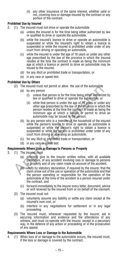(ii) any other insurance of the same interest, whether valid or not, covering loss or damage insured by the contract or any portion of the contract.

# **Prohibited Use by Insured**

- 2. (1) The insured must not drive or operate the automobile
	- (a) unless the insured is for the time being either authorized by law or qualified to drive or operate the automobile,
	- (b) while the insured's licence to drive or operate an automobile is suspended or while the insured's right to obtain a licence is suspended or while the insured is prohibited under order of any court from driving or operating an automobile,
	- (c) while the insured is under the age of 16 years or under any other age prescribed by the law of the province in which the insured resides at the time the contract is made as being the minimum age at which a licence or permit to drive an automobile may be issued to the insured,
	- (d) for any illicit or prohibited trade or transportation, or
	- (e) in any race or speed test.

# **Prohibited Use by Others**

- (2) The insured must not permit or allow the use of the automobile
	- (a) by any person
		- (i) unless that person is for the time being either authorized by law or qualified to drive or operate the automobile, or
		- (ii) while that person is under the age of 16 years or under any other age prescribed by the law of the province in which the person resides at the time the contract is made as being the minimum age at which a licence or permit to drive an automobile may be issued to the person,
- (2) The insured must not permit or allow the use of the automobile<br>
(a) by any person that person is for the time being either authorized<br>
(i) unless that person is for the time being either automobile, or<br>
(ii) while tha (b) by any person who is a member of the household of the insured while the person's licence to drive or operate an automobile is suspended or while the person's right to obtain a licence is suspended or while the person is prohibited under order of any court from driving or operating an automobile,
	- (c) for any illicit or prohibited trade or transportation, or
	- (d) in any race or speed test.

# **Requirements Where Loss or Damage to Persons or Property**

- 3. (1) The insured must
	- (a) promptly give to the insurer written notice, with all available particulars, of any accident involving loss or damage to persons or property and of any claim made on account of the accident,
	- (b) verify by statutory declaration, if required by the insurer, that the claim arose out of the use or operation of the automobile and that the person operating or responsible for the operation of the automobile at the time of the accident is a person insured under the contract, and
	- (c) forward immediately to the insurer every letter, document, advice or writ received by the insured from or on behalf of the claimant.
	- (2) The insured must not
		- (a) voluntarily assume any liability or settle any claim except at the insured's own cost, or
		- (b) interfere in any negotiations for settlement or in any legal proceeding.
	- (3) The insured must, whenever requested by the insurer, aid in securing information and evidence and the attendance of any witness, and must co-operate with the insurer, except in a pecuniary way, in the defence of any action or proceeding or in the prosecution of any appeal.

### **Requirements Where Loss or Damage to the Automobile**

4. (1) When loss of or damage to the automobile occurs, the insured must, if the loss or damage is covered by the contract,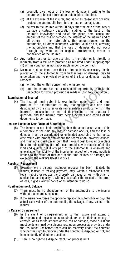- (a) promptly give notice of the loss or damage in writing to the insurer with fullest information obtainable at the time,
- (b) at the expense of the insurer, and as far as reasonably possible, protect the automobile from further loss or damage, and
- (c) deliver to the insurer within 90 days after the date of the loss or damage a statutory declaration stating, to the best of the insured's knowledge and belief, the place, time, cause and amount of the loss or damage, the interest of the insured and of all others in the automobile, the encumbrances on the automobile, all other insurance, whether valid or not, covering the automobile and that the loss or damage did not occur through any wilful act or neglect, procurement, means or connivance of the insured.
- (2) Any further loss or damage accruing to the automobile directly or indirectly from a failure to protect it as required under subparagraph (1) of this condition is not recoverable under the contract.
- (3) No repairs, other than those that are immediately necessary for the protection of the automobile from further loss or damage, may be undertaken and no physical evidence of the loss or damage may be removed
	- (a) without the written consent of the insurer, or
	- (b) until the insurer has had a reasonable opportunity to make the inspection for which provision is made in Statutory Condition 5.

### **Examination of Insured**

(4) The insured must submit to examination under oath and must produce for examination at any reasonable place and time designated by the insurer or its representative all documents in the insured's possession or control that relate to the matters in question, and the insured must permit extracts and copies of the documents to be made.

# **Insurer Liable for Cash Value of Automobile**

(b) until the insurer has had a reasonable opportunity to make the inspection for which provision is made in Statutory Condition **mination of Insured** (4) The insured must submit to examination under oath and must produce (5) The insurer is not liable for more than the actual cash value of the automobile at the time any loss or damage occurs, and the loss or damage must be ascertained or estimated according to that actual cash value with proper deductions for depreciation, however caused, and must not exceed the amount that it would cost to repair or replace the automobile, or any part of the automobile, with material of similar kind and quality, but if any part of the automobile is obsolete and unavailable, the liability of the insurer in respect of the automobile is limited to the value of that part at the time of loss or damage, not exceeding the maker's latest list price.

### **Repair or Replacement**

(6) Except where a dispute resolution process has been initiated, the insurer, instead of making payment, may, within a reasonable time, repair, rebuild or replace the property damaged or lost with other of similar kind and quality if, within 7 days after the receipt of the proof of loss, it gives written notice of its intention to do so.

#### **No Abandonment, Salvage**

- (7) There must be no abandonment of the automobile to the insurer without the insurer's consent.
- (8) If the insurer exercises the option to replace the automobile or pays the actual cash value of the automobile, the salvage, if any, vests in the insurer.

### **In Case of Disagreement**

- (9) In the event of disagreement as to the nature and extent of the repairs and replacements required, or as to their adequacy, if effected, or as to the amount of the loss or damage, those questions must be determined by a dispute resolution process as provided under the Insurance Act before there can be recovery under the contract, whether the right to recover under the contract is disputed or not, and independently of all other questions.
- (10) There is no right to a dispute resolution process until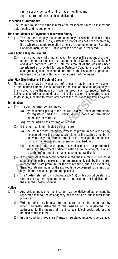- (a) a specific demand for it is made in writing, and
- (b) the proof of loss has been delivered.

# **Inspection of Automobile**

5. The insured must permit the insurer at all reasonable times to inspect the automobile and its equipment.

# **Time and Manner of Payment of Insurance Money**

6. (1) The insurer must pay the insurance money for which it is liable under the contract within 60 days after the proof of loss has been received by it or, where a dispute resolution process is conducted under Statutory Condition 4(9), within 15 days after the decision is rendered.

### **When Action May Be Brought**

(2) The insured may not bring an action to recover the amount of a claim under the contract unless the requirements of Statutory Conditions 3 and 4 are complied with or until the amount of the loss has been ascertained as provided for under Statutory Conditions 3 and 4 or by a judgment against the insured after trial of the issue, or by agreement between the parties with the written consent of the insurer.

# **Who May Give Notice and Proofs of Claim**

7. Notice of claim may be given and proofs of claim may be made by the agent of the insured named in this contract in the case of absence or inability of the insured to give the notice or make the proof, such absence or inability being satisfactorily accounted for or, in the like case or if the insured refuses to do so, by a person to whom any part of the insurance money is payable.

# **Termination**

- 8. (1) The contract may be terminated
	- (a) by the insurer giving to the insured 15 days' notice of termination by registered mail or 5 days' written notice of termination personally delivered, or
	- (b) by the insured at any time on request.
	- (2) If the contract is terminated by the insurer,
		- (a) the insurer must refund the excess of premium actually paid by the insured over the prorated premium for the expired time, but in no event, may the prorated premium for the expired time be less than any minimum retained premium specified, and
		- (b) the refund must accompany the notice unless the premium is subject to adjustment or determination as to the amount, in which case the refund must be made as soon as practicable.
- of the insured named in this contract in the case of absence or inability<br>the insured to give the notice or make the proof, such absence or inability<br>being satisfactorily accounted for or, in the like case or if the insura (3) If the contract is terminated by the insured, the insurer must refund as soon as practicable the excess of premium actually paid by the insured over the short rate premium for the expired time, but in no event may the short rate premium for the expired time be deemed to be less than any minimum retained premium specified.
	- (4) The 15-day referred to in subparagraph 1(a) of this condition starts to run on the day the registered letter or notification of it is delivered to the insured's postal address.

# **Notice**

- 9. (1) Any written notice to the insurer may be delivered at, or sent by registered mail to, the chief agency or head office of the insurer in the province.
	- (2) Written notice may be given to the insured named in the contract by letter personally delivered to the insured or by registered mail addressed to the insured at the insured's latest postal address as notified to the insurer.
	- (3) In this condition, "registered" means registered in or outside Canada.